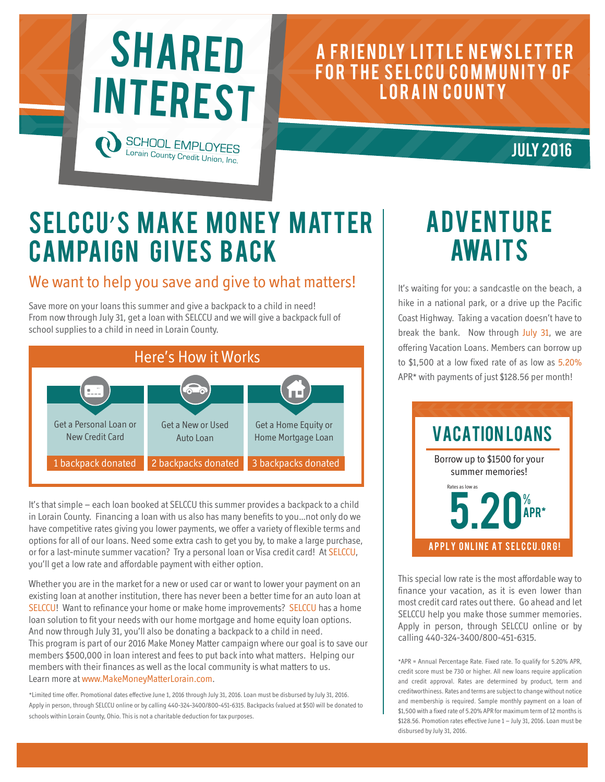

#### A FRIENDLY LITTLE NEWSLETTER FOR THE SELCCU COMMUNITY OF LORAIN COUNTY

**JULY 2016** 

## SELCCU'S MAKE MONEY MATTER **CAMPAIGN GIVES BACK**

#### We want to help you save and give to what matters!

Save more on your loans this summer and give a backpack to a child in need! From now through July 31, get a loan with SELCCU and we will give a backpack full of school supplies to a child in need in Lorain County.



It's that simple – each loan booked at SELCCU this summer provides a backpack to a child in Lorain County. Financing a loan with us also has many benefits to you…not only do we have competitive rates giving you lower payments, we offer a variety of flexible terms and options for all of our loans. Need some extra cash to get you by, to make a large purchase, or for a last-minute summer vacation? Try a personal loan or Visa credit card! At SELCCU, you'll get a low rate and affordable payment with either option.

Whether you are in the market for a new or used car or want to lower your payment on an existing loan at another institution, there has never been a better time for an auto loan at SELCCU! Want to refinance your home or make home improvements? SELCCU has a home loan solution to fit your needs with our home mortgage and home equity loan options. And now through July 31, you'll also be donating a backpack to a child in need. This program is part of our 2016 Make Money Matter campaign where our goal is to save our members \$500,000 in loan interest and fees to put back into what matters. Helping our members with their finances as well as the local community is what matters to us. Learn more at www.MakeMoneyMatterLorain.com.

\*Limited time offer. Promotional dates effective June 1, 2016 through July 31, 2016. Loan must be disbursed by July 31, 2016. Apply in person, through SELCCU online or by calling 440-324-3400/800-451-6315. Backpacks (valued at \$50) will be donated to schools within Lorain County, Ohio. This is not a charitable deduction for tax purposes.

## **ADVENTURE AWAITS**

It's waiting for you: a sandcastle on the beach, a hike in a national park, or a drive up the Pacific Coast Highway. Taking a vacation doesn't have to break the bank. Now through July 31, we are offering Vacation Loans. Members can borrow up to \$1,500 at a low fixed rate of as low as 5.20% APR\* with payments of just \$128.56 per month!



This special low rate is the most affordable way to finance your vacation, as it is even lower than most credit card rates out there. Go ahead and let SELCCU help you make those summer memories. Apply in person, through SELCCU online or by calling 440-324-3400/800-451-6315.

\*APR = Annual Percentage Rate. Fixed rate. To qualify for 5.20% APR, credit score must be 730 or higher. All new loans require application and credit approval. Rates are determined by product, term and creditworthiness. Rates and terms are subject to change without notice and membership is required. Sample monthly payment on a loan of \$1,500 with a fixed rate of 5.20% APR for maximum term of 12 months is \$128.56. Promotion rates effective June 1 – July 31, 2016. Loan must be disbursed by July 31, 2016.